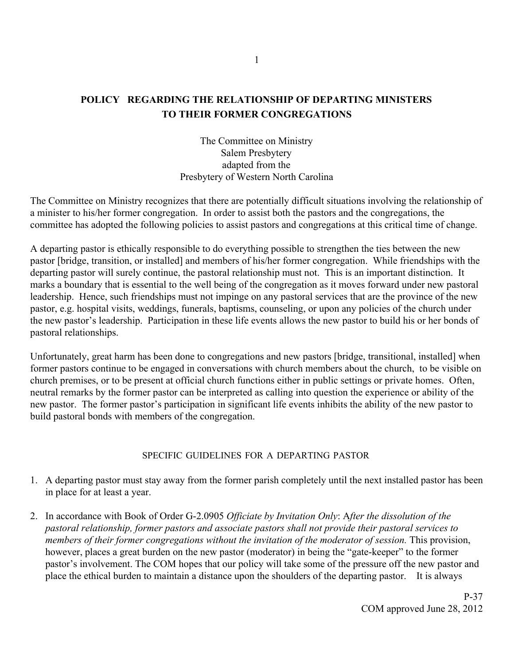# **POLICY REGARDING THE RELATIONSHIP OF DEPARTING MINISTERS TO THEIR FORMER CONGREGATIONS**

The Committee on Ministry Salem Presbytery adapted from the Presbytery of Western North Carolina

The Committee on Ministry recognizes that there are potentially difficult situations involving the relationship of a minister to his/her former congregation. In order to assist both the pastors and the congregations, the committee has adopted the following policies to assist pastors and congregations at this critical time of change.

A departing pastor is ethically responsible to do everything possible to strengthen the ties between the new pastor [bridge, transition, or installed] and members of his/her former congregation. While friendships with the departing pastor will surely continue, the pastoral relationship must not. This is an important distinction. It marks a boundary that is essential to the well being of the congregation as it moves forward under new pastoral leadership. Hence, such friendships must not impinge on any pastoral services that are the province of the new pastor, e.g. hospital visits, weddings, funerals, baptisms, counseling, or upon any policies of the church under the new pastor's leadership. Participation in these life events allows the new pastor to build his or her bonds of pastoral relationships.

Unfortunately, great harm has been done to congregations and new pastors [bridge, transitional, installed] when former pastors continue to be engaged in conversations with church members about the church, to be visible on church premises, or to be present at official church functions either in public settings or private homes. Often, neutral remarks by the former pastor can be interpreted as calling into question the experience or ability of the new pastor. The former pastor's participation in significant life events inhibits the ability of the new pastor to build pastoral bonds with members of the congregation.

#### SPECIFIC GUIDELINES FOR A DEPARTING PASTOR

- 1. A departing pastor must stay away from the former parish completely until the next installed pastor has been in place for at least a year.
- 2. In accordance with Book of Order G-2.0905 *Officiate by Invitation Only*: A*fter the dissolution of the pastoral relationship, former pastors and associate pastors shall not provide their pastoral services to members of their former congregations without the invitation of the moderator of session.* This provision, however, places a great burden on the new pastor (moderator) in being the "gate-keeper" to the former pastor's involvement. The COM hopes that our policy will take some of the pressure off the new pastor and place the ethical burden to maintain a distance upon the shoulders of the departing pastor.It is always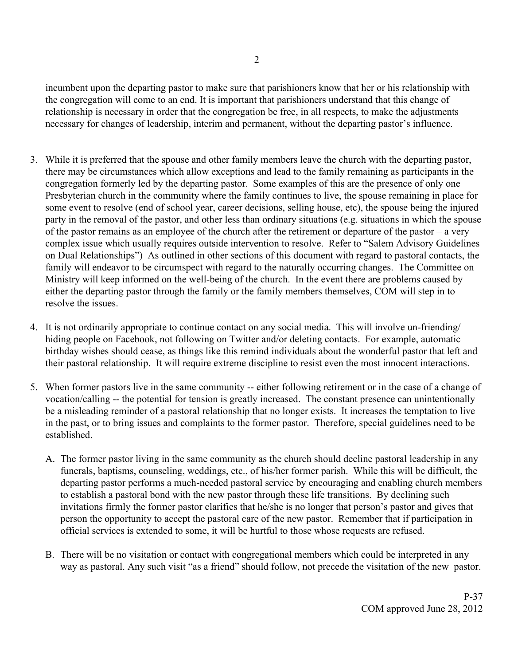incumbent upon the departing pastor to make sure that parishioners know that her or his relationship with the congregation will come to an end. It is important that parishioners understand that this change of relationship is necessary in order that the congregation be free, in all respects, to make the adjustments necessary for changes of leadership, interim and permanent, without the departing pastor's influence.

- 3. While it is preferred that the spouse and other family members leave the church with the departing pastor, there may be circumstances which allow exceptions and lead to the family remaining as participants in the congregation formerly led by the departing pastor. Some examples of this are the presence of only one Presbyterian church in the community where the family continues to live, the spouse remaining in place for some event to resolve (end of school year, career decisions, selling house, etc), the spouse being the injured party in the removal of the pastor, and other less than ordinary situations (e.g. situations in which the spouse of the pastor remains as an employee of the church after the retirement or departure of the pastor – a very complex issue which usually requires outside intervention to resolve. Refer to "Salem Advisory Guidelines on Dual Relationships") As outlined in other sections of this document with regard to pastoral contacts, the family will endeavor to be circumspect with regard to the naturally occurring changes. The Committee on Ministry will keep informed on the well-being of the church. In the event there are problems caused by either the departing pastor through the family or the family members themselves, COM will step in to resolve the issues.
- 4. It is not ordinarily appropriate to continue contact on any social media. This will involve un-friending/ hiding people on Facebook, not following on Twitter and/or deleting contacts. For example, automatic birthday wishes should cease, as things like this remind individuals about the wonderful pastor that left and their pastoral relationship. It will require extreme discipline to resist even the most innocent interactions.
- 5. When former pastors live in the same community -- either following retirement or in the case of a change of vocation/calling -- the potential for tension is greatly increased. The constant presence can unintentionally be a misleading reminder of a pastoral relationship that no longer exists. It increases the temptation to live in the past, or to bring issues and complaints to the former pastor. Therefore, special guidelines need to be established.
	- A. The former pastor living in the same community as the church should decline pastoral leadership in any funerals, baptisms, counseling, weddings, etc., of his/her former parish. While this will be difficult, the departing pastor performs a much-needed pastoral service by encouraging and enabling church members to establish a pastoral bond with the new pastor through these life transitions. By declining such invitations firmly the former pastor clarifies that he/she is no longer that person's pastor and gives that person the opportunity to accept the pastoral care of the new pastor. Remember that if participation in official services is extended to some, it will be hurtful to those whose requests are refused.
	- B. There will be no visitation or contact with congregational members which could be interpreted in any way as pastoral. Any such visit "as a friend" should follow, not precede the visitation of the new pastor.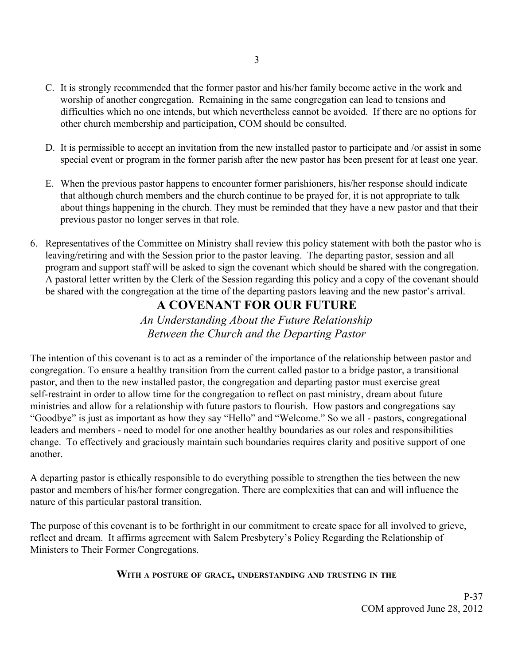- C. It is strongly recommended that the former pastor and his/her family become active in the work and worship of another congregation. Remaining in the same congregation can lead to tensions and difficulties which no one intends, but which nevertheless cannot be avoided. If there are no options for other church membership and participation, COM should be consulted.
- D. It is permissible to accept an invitation from the new installed pastor to participate and /or assist in some special event or program in the former parish after the new pastor has been present for at least one year.
- E. When the previous pastor happens to encounter former parishioners, his/her response should indicate that although church members and the church continue to be prayed for, it is not appropriate to talk about things happening in the church. They must be reminded that they have a new pastor and that their previous pastor no longer serves in that role.
- 6. Representatives of the Committee on Ministry shall review this policy statement with both the pastor who is leaving/retiring and with the Session prior to the pastor leaving. The departing pastor, session and all program and support staff will be asked to sign the covenant which should be shared with the congregation. A pastoral letter written by the Clerk of the Session regarding this policy and a copy of the covenant should be shared with the congregation at the time of the departing pastors leaving and the new pastor's arrival.

# **A COVENANT FOR OUR FUTURE**

*An Understanding About the Future Relationship Between the Church and the Departing Pastor*

The intention of this covenant is to act as a reminder of the importance of the relationship between pastor and congregation. To ensure a healthy transition from the current called pastor to a bridge pastor, a transitional pastor, and then to the new installed pastor, the congregation and departing pastor must exercise great self-restraint in order to allow time for the congregation to reflect on past ministry, dream about future ministries and allow for a relationship with future pastors to flourish. How pastors and congregations say "Goodbye" is just as important as how they say "Hello" and "Welcome." So we all - pastors, congregational leaders and members - need to model for one another healthy boundaries as our roles and responsibilities change. To effectively and graciously maintain such boundaries requires clarity and positive support of one another.

A departing pastor is ethically responsible to do everything possible to strengthen the ties between the new pastor and members of his/her former congregation. There are complexities that can and will influence the nature of this particular pastoral transition.

The purpose of this covenant is to be forthright in our commitment to create space for all involved to grieve, reflect and dream. It affirms agreement with Salem Presbytery's Policy Regarding the Relationship of Ministers to Their Former Congregations.

# **WITH <sup>A</sup> POSTURE OF GRACE, UNDERSTANDING AND TRUSTING IN THE**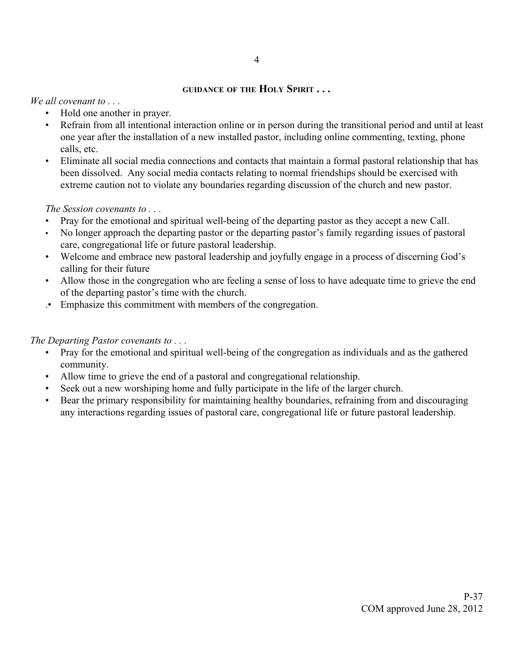#### **GUIDANCE OF THE HOLY SPIRIT . . .**

*We all covenant to . . .*

- Hold one another in prayer.
- Refrain from all intentional interaction online or in person during the transitional period and until at least one year after the installation of a new installed pastor, including online commenting, texting, phone calls, etc.
- Eliminate all social media connections and contacts that maintain a formal pastoral relationship that has been dissolved. Any social media contacts relating to normal friendships should be exercised with extreme caution not to violate any boundaries regarding discussion of the church and new pastor.

# *The Session covenants to . . .*

- Pray for the emotional and spiritual well-being of the departing pastor as they accept a new Call.
- No longer approach the departing pastor or the departing pastor's family regarding issues of pastoral care, congregational life or future pastoral leadership.
- Welcome and embrace new pastoral leadership and joyfully engage in a process of discerning God's calling for their future
- Allow those in the congregation who are feeling a sense of loss to have adequate time to grieve the end of the departing pastor's time with the church.
- .• Emphasize this commitment with members of the congregation.

*The Departing Pastor covenants to . . .*

- Pray for the emotional and spiritual well-being of the congregation as individuals and as the gathered community.
- Allow time to grieve the end of a pastoral and congregational relationship.
- Seek out a new worshiping home and fully participate in the life of the larger church.
- Bear the primary responsibility for maintaining healthy boundaries, refraining from and discouraging any interactions regarding issues of pastoral care, congregational life or future pastoral leadership.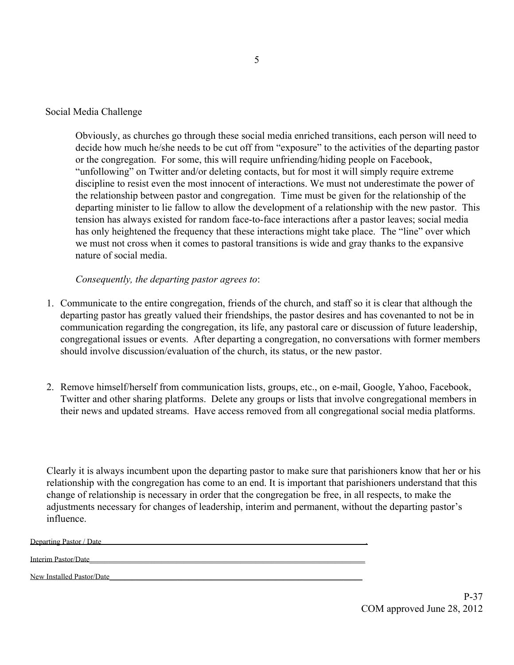### Social Media Challenge

Obviously, as churches go through these social media enriched transitions, each person will need to decide how much he/she needs to be cut off from "exposure" to the activities of the departing pastor or the congregation. For some, this will require unfriending/hiding people on Facebook, "unfollowing" on Twitter and/or deleting contacts, but for most it will simply require extreme discipline to resist even the most innocent of interactions. We must not underestimate the power of the relationship between pastor and congregation. Time must be given for the relationship of the departing minister to lie fallow to allow the development of a relationship with the new pastor. This tension has always existed for random face-to-face interactions after a pastor leaves; social media has only heightened the frequency that these interactions might take place. The "line" over which we must not cross when it comes to pastoral transitions is wide and gray thanks to the expansive nature of social media.

*Consequently, the departing pastor agrees to*:

- 1. Communicate to the entire congregation, friends of the church, and staff so it is clear that although the departing pastor has greatly valued their friendships, the pastor desires and has covenanted to not be in communication regarding the congregation, its life, any pastoral care or discussion of future leadership, congregational issues or events. After departing a congregation, no conversations with former members should involve discussion/evaluation of the church, its status, or the new pastor.
- 2. Remove himself/herself from communication lists, groups, etc., on e-mail, Google, Yahoo, Facebook, Twitter and other sharing platforms. Delete any groups or lists that involve congregational members in their news and updated streams. Have access removed from all congregational social media platforms.

Clearly it is always incumbent upon the departing pastor to make sure that parishioners know that her or his relationship with the congregation has come to an end. It is important that parishioners understand that this change of relationship is necessary in order that the congregation be free, in all respects, to make the adjustments necessary for changes of leadership, interim and permanent, without the departing pastor's influence.

Departing Pastor / Date .

Interim Pastor/Date\_\_\_\_\_\_\_\_\_\_\_\_\_\_\_\_\_\_\_\_\_\_\_\_\_\_\_\_\_\_\_\_\_\_\_\_\_\_\_\_\_\_\_\_\_\_\_\_\_\_\_\_\_\_\_\_\_\_\_\_\_\_\_\_\_\_\_\_\_\_\_\_\_

New Installed Pastor/Date